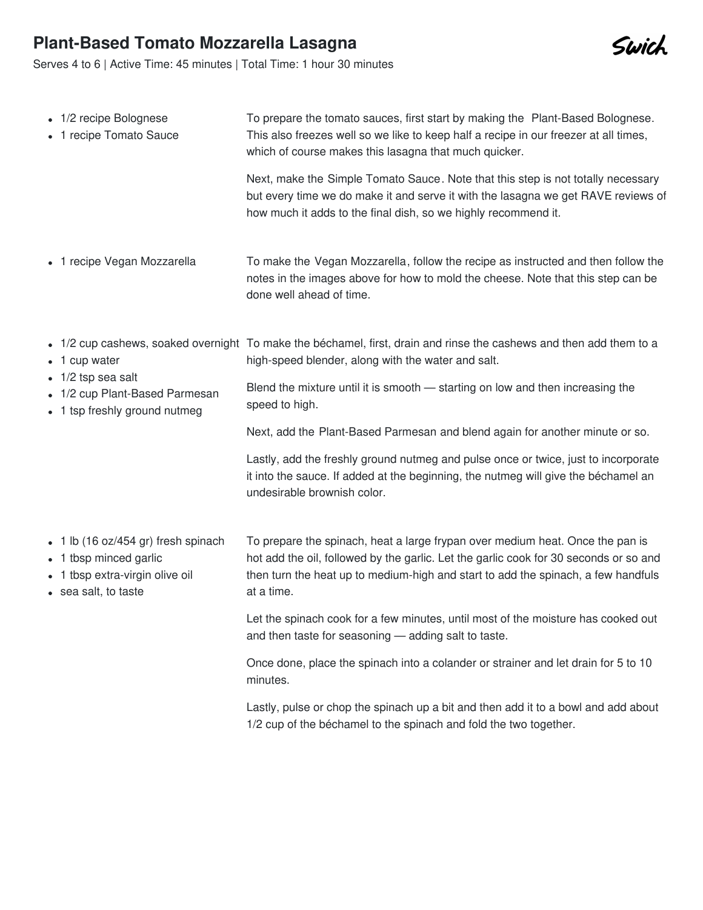## **Plant-Based Tomato Mozzarella Lasagna**

Serves 4 to 6 | Active Time: 45 minutes | Total Time: 1 hour 30 minutes

| • 1/2 recipe Bolognese<br>• 1 recipe Tomato Sauce                                                                | To prepare the tomato sauces, first start by making the Plant-Based Bolognese.<br>This also freezes well so we like to keep half a recipe in our freezer at all times,<br>which of course makes this lasagna that much quicker.                                           |
|------------------------------------------------------------------------------------------------------------------|---------------------------------------------------------------------------------------------------------------------------------------------------------------------------------------------------------------------------------------------------------------------------|
|                                                                                                                  | Next, make the Simple Tomato Sauce. Note that this step is not totally necessary<br>but every time we do make it and serve it with the lasagna we get RAVE reviews of<br>how much it adds to the final dish, so we highly recommend it.                                   |
| • 1 recipe Vegan Mozzarella                                                                                      | To make the Vegan Mozzarella, follow the recipe as instructed and then follow the<br>notes in the images above for how to mold the cheese. Note that this step can be<br>done well ahead of time.                                                                         |
| 1 cup water<br>$\bullet$ 1/2 tsp sea salt<br>1/2 cup Plant-Based Parmesan<br>1 tsp freshly ground nutmeg         | • 1/2 cup cashews, soaked overnight To make the béchamel, first, drain and rinse the cashews and then add them to a<br>high-speed blender, along with the water and salt.                                                                                                 |
|                                                                                                                  | Blend the mixture until it is smooth - starting on low and then increasing the<br>speed to high.                                                                                                                                                                          |
|                                                                                                                  | Next, add the Plant-Based Parmesan and blend again for another minute or so.                                                                                                                                                                                              |
|                                                                                                                  | Lastly, add the freshly ground nutmeg and pulse once or twice, just to incorporate<br>it into the sauce. If added at the beginning, the nutmeg will give the béchamel an<br>undesirable brownish color.                                                                   |
| 1 lb (16 oz/454 gr) fresh spinach<br>1 tbsp minced garlic<br>1 tbsp extra-virgin olive oil<br>sea salt, to taste | To prepare the spinach, heat a large frypan over medium heat. Once the pan is<br>hot add the oil, followed by the garlic. Let the garlic cook for 30 seconds or so and<br>then turn the heat up to medium-high and start to add the spinach, a few handfuls<br>at a time. |
|                                                                                                                  | Let the spinach cook for a few minutes, until most of the moisture has cooked out<br>and then taste for seasoning - adding salt to taste.                                                                                                                                 |
|                                                                                                                  | Once done, place the spinach into a colander or strainer and let drain for 5 to 10<br>minutes.                                                                                                                                                                            |
|                                                                                                                  |                                                                                                                                                                                                                                                                           |

Lastly, pulse or chop the spinach up a bit and then add it to a bowl and add about 1/2 cup of the béchamel to the spinach and fold the two together.

Swich